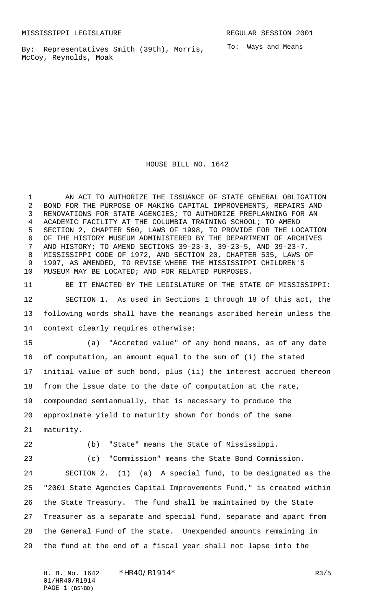By: Representatives Smith (39th), Morris, McCoy, Reynolds, Moak

To: Ways and Means

HOUSE BILL NO. 1642

1 AN ACT TO AUTHORIZE THE ISSUANCE OF STATE GENERAL OBLIGATION BOND FOR THE PURPOSE OF MAKING CAPITAL IMPROVEMENTS, REPAIRS AND RENOVATIONS FOR STATE AGENCIES; TO AUTHORIZE PREPLANNING FOR AN ACADEMIC FACILITY AT THE COLUMBIA TRAINING SCHOOL; TO AMEND SECTION 2, CHAPTER 560, LAWS OF 1998, TO PROVIDE FOR THE LOCATION OF THE HISTORY MUSEUM ADMINISTERED BY THE DEPARTMENT OF ARCHIVES AND HISTORY; TO AMEND SECTIONS 39-23-3, 39-23-5, AND 39-23-7, MISSISSIPPI CODE OF 1972, AND SECTION 20, CHAPTER 535, LAWS OF 1997, AS AMENDED, TO REVISE WHERE THE MISSISSIPPI CHILDREN'S MUSEUM MAY BE LOCATED; AND FOR RELATED PURPOSES.

 BE IT ENACTED BY THE LEGISLATURE OF THE STATE OF MISSISSIPPI: SECTION 1. As used in Sections 1 through 18 of this act, the following words shall have the meanings ascribed herein unless the context clearly requires otherwise:

 (a) "Accreted value" of any bond means, as of any date of computation, an amount equal to the sum of (i) the stated initial value of such bond, plus (ii) the interest accrued thereon from the issue date to the date of computation at the rate, compounded semiannually, that is necessary to produce the approximate yield to maturity shown for bonds of the same maturity.

(b) "State" means the State of Mississippi.

(c) "Commission" means the State Bond Commission.

 SECTION 2. (1) (a) A special fund, to be designated as the "2001 State Agencies Capital Improvements Fund," is created within the State Treasury. The fund shall be maintained by the State Treasurer as a separate and special fund, separate and apart from the General Fund of the state. Unexpended amounts remaining in the fund at the end of a fiscal year shall not lapse into the

H. B. No. 1642 \* HR40/R1914\* R3/5 01/HR40/R1914 PAGE 1 (BS\BD)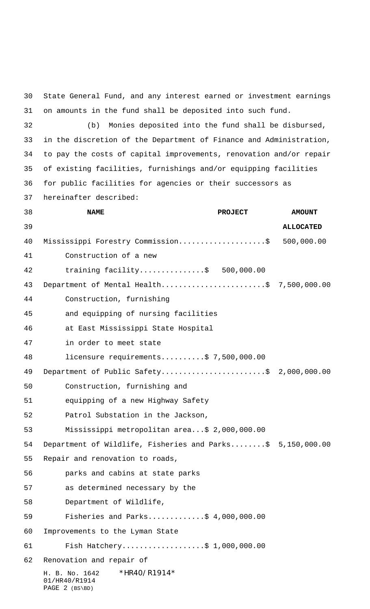H. B. No. 1642 \* HR40/R1914\* 01/HR40/R1914 PAGE 2 (BS\BD) State General Fund, and any interest earned or investment earnings on amounts in the fund shall be deposited into such fund. (b) Monies deposited into the fund shall be disbursed, in the discretion of the Department of Finance and Administration, to pay the costs of capital improvements, renovation and/or repair of existing facilities, furnishings and/or equipping facilities for public facilities for agencies or their successors as hereinafter described: **NAME PROJECT AMOUNT ALLOCATED** Mississippi Forestry Commission....................\$ 500,000.00 Construction of a new training facility...............\$ 500,000.00 43 Department of Mental Health...........................\$ 7,500,000.00 Construction, furnishing and equipping of nursing facilities at East Mississippi State Hospital in order to meet state licensure requirements..........\$ 7,500,000.00 49 Department of Public Safety...........................\$ 2,000,000.00 Construction, furnishing and equipping of a new Highway Safety Patrol Substation in the Jackson, Mississippi metropolitan area...\$ 2,000,000.00 Department of Wildlife, Fisheries and Parks........\$ 5,150,000.00 Repair and renovation to roads, parks and cabins at state parks as determined necessary by the Department of Wildlife, Fisheries and Parks.............\$ 4,000,000.00 Improvements to the Lyman State Fish Hatchery...................\$ 1,000,000.00 Renovation and repair of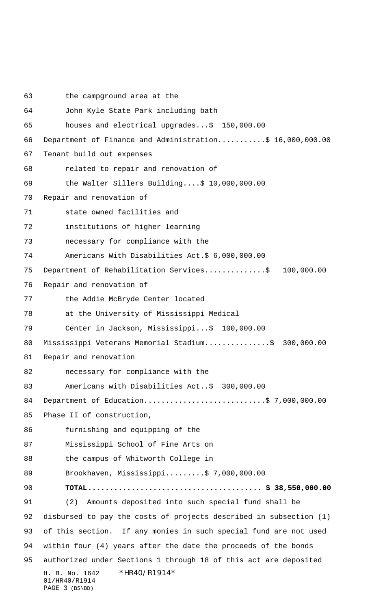H. B. No. 1642 \*HR40/R1914\* 01/HR40/R1914 PAGE 3 (BS\BD) the campground area at the John Kyle State Park including bath houses and electrical upgrades...\$ 150,000.00 Department of Finance and Administration...........\$ 16,000,000.00 Tenant build out expenses related to repair and renovation of the Walter Sillers Building....\$ 10,000,000.00 Repair and renovation of state owned facilities and institutions of higher learning necessary for compliance with the Americans With Disabilities Act.\$ 6,000,000.00 75 Department of Rehabilitation Services...............\$ 100,000.00 Repair and renovation of the Addie McBryde Center located at the University of Mississippi Medical Center in Jackson, Mississippi...\$ 100,000.00 80 Mississippi Veterans Memorial Stadium...............\$ 300,000.00 Repair and renovation necessary for compliance with the Americans with Disabilities Act..\$ 300,000.00 84 Department of Education...............................\$ 7,000,000.00 Phase II of construction, furnishing and equipping of the Mississippi School of Fine Arts on 88 the campus of Whitworth College in Brookhaven, Mississippi.........\$ 7,000,000.00  **TOTAL........................................ \$ 38,550,000.00** (2) Amounts deposited into such special fund shall be disbursed to pay the costs of projects described in subsection (1) of this section. If any monies in such special fund are not used within four (4) years after the date the proceeds of the bonds authorized under Sections 1 through 18 of this act are deposited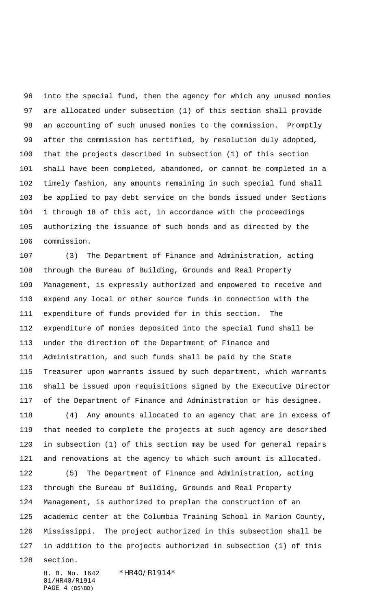into the special fund, then the agency for which any unused monies are allocated under subsection (1) of this section shall provide an accounting of such unused monies to the commission. Promptly after the commission has certified, by resolution duly adopted, that the projects described in subsection (1) of this section shall have been completed, abandoned, or cannot be completed in a timely fashion, any amounts remaining in such special fund shall be applied to pay debt service on the bonds issued under Sections 1 through 18 of this act, in accordance with the proceedings authorizing the issuance of such bonds and as directed by the commission.

 (3) The Department of Finance and Administration, acting through the Bureau of Building, Grounds and Real Property Management, is expressly authorized and empowered to receive and expend any local or other source funds in connection with the expenditure of funds provided for in this section. The expenditure of monies deposited into the special fund shall be under the direction of the Department of Finance and Administration, and such funds shall be paid by the State Treasurer upon warrants issued by such department, which warrants shall be issued upon requisitions signed by the Executive Director of the Department of Finance and Administration or his designee.

 (4) Any amounts allocated to an agency that are in excess of that needed to complete the projects at such agency are described in subsection (1) of this section may be used for general repairs and renovations at the agency to which such amount is allocated.

 (5) The Department of Finance and Administration, acting through the Bureau of Building, Grounds and Real Property Management, is authorized to preplan the construction of an academic center at the Columbia Training School in Marion County, Mississippi. The project authorized in this subsection shall be in addition to the projects authorized in subsection (1) of this

section.

H. B. No. 1642 \*HR40/R1914\* 01/HR40/R1914 PAGE 4 (BS\BD)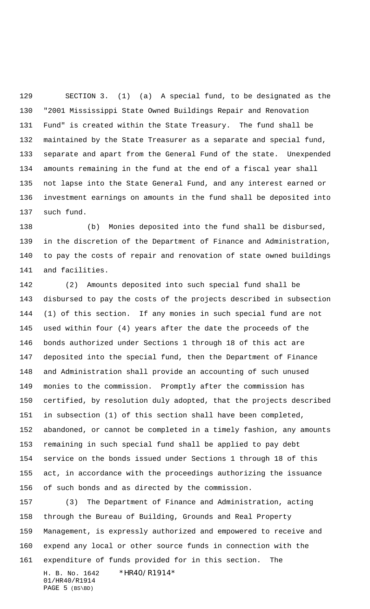SECTION 3. (1) (a) A special fund, to be designated as the "2001 Mississippi State Owned Buildings Repair and Renovation Fund" is created within the State Treasury. The fund shall be maintained by the State Treasurer as a separate and special fund, separate and apart from the General Fund of the state. Unexpended amounts remaining in the fund at the end of a fiscal year shall not lapse into the State General Fund, and any interest earned or investment earnings on amounts in the fund shall be deposited into such fund.

 (b) Monies deposited into the fund shall be disbursed, in the discretion of the Department of Finance and Administration, to pay the costs of repair and renovation of state owned buildings and facilities.

 (2) Amounts deposited into such special fund shall be disbursed to pay the costs of the projects described in subsection (1) of this section. If any monies in such special fund are not used within four (4) years after the date the proceeds of the bonds authorized under Sections 1 through 18 of this act are deposited into the special fund, then the Department of Finance and Administration shall provide an accounting of such unused monies to the commission. Promptly after the commission has certified, by resolution duly adopted, that the projects described in subsection (1) of this section shall have been completed, abandoned, or cannot be completed in a timely fashion, any amounts remaining in such special fund shall be applied to pay debt service on the bonds issued under Sections 1 through 18 of this act, in accordance with the proceedings authorizing the issuance of such bonds and as directed by the commission.

H. B. No. 1642 \*HR40/R1914\* (3) The Department of Finance and Administration, acting through the Bureau of Building, Grounds and Real Property Management, is expressly authorized and empowered to receive and expend any local or other source funds in connection with the expenditure of funds provided for in this section. The

01/HR40/R1914 PAGE (BS\BD)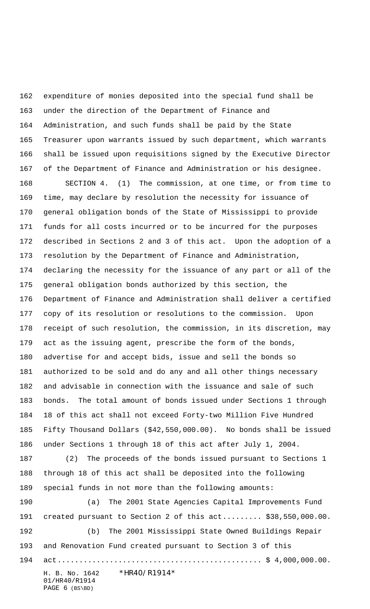expenditure of monies deposited into the special fund shall be under the direction of the Department of Finance and Administration, and such funds shall be paid by the State Treasurer upon warrants issued by such department, which warrants shall be issued upon requisitions signed by the Executive Director of the Department of Finance and Administration or his designee.

 SECTION 4. (1) The commission, at one time, or from time to time, may declare by resolution the necessity for issuance of general obligation bonds of the State of Mississippi to provide funds for all costs incurred or to be incurred for the purposes described in Sections 2 and 3 of this act. Upon the adoption of a resolution by the Department of Finance and Administration, declaring the necessity for the issuance of any part or all of the general obligation bonds authorized by this section, the Department of Finance and Administration shall deliver a certified copy of its resolution or resolutions to the commission. Upon receipt of such resolution, the commission, in its discretion, may act as the issuing agent, prescribe the form of the bonds, advertise for and accept bids, issue and sell the bonds so authorized to be sold and do any and all other things necessary and advisable in connection with the issuance and sale of such bonds. The total amount of bonds issued under Sections 1 through 18 of this act shall not exceed Forty-two Million Five Hundred Fifty Thousand Dollars (\$42,550,000.00). No bonds shall be issued under Sections 1 through 18 of this act after July 1, 2004.

 (2) The proceeds of the bonds issued pursuant to Sections 1 through 18 of this act shall be deposited into the following special funds in not more than the following amounts:

 (a) The 2001 State Agencies Capital Improvements Fund created pursuant to Section 2 of this act......... \$38,550,000.00. (b) The 2001 Mississippi State Owned Buildings Repair and Renovation Fund created pursuant to Section 3 of this act............................................... \$ 4,000,000.00.

H. B. No. 1642 \*HR40/R1914\* 01/HR40/R1914 PAGE (BS\BD)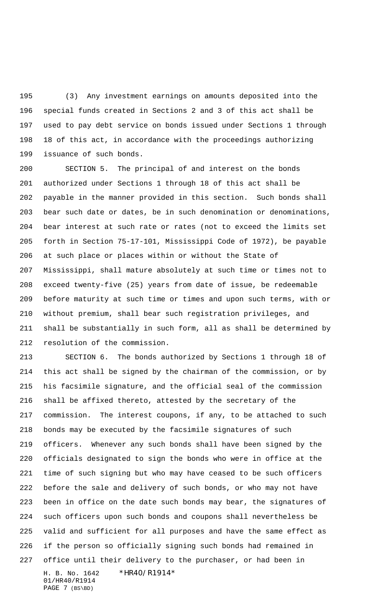(3) Any investment earnings on amounts deposited into the special funds created in Sections 2 and 3 of this act shall be used to pay debt service on bonds issued under Sections 1 through 18 of this act, in accordance with the proceedings authorizing issuance of such bonds.

 SECTION 5. The principal of and interest on the bonds authorized under Sections 1 through 18 of this act shall be payable in the manner provided in this section. Such bonds shall bear such date or dates, be in such denomination or denominations, bear interest at such rate or rates (not to exceed the limits set forth in Section 75-17-101, Mississippi Code of 1972), be payable at such place or places within or without the State of Mississippi, shall mature absolutely at such time or times not to exceed twenty-five (25) years from date of issue, be redeemable before maturity at such time or times and upon such terms, with or without premium, shall bear such registration privileges, and shall be substantially in such form, all as shall be determined by resolution of the commission.

H. B. No. 1642 \*HR40/R1914\* 01/HR40/R1914 SECTION 6. The bonds authorized by Sections 1 through 18 of this act shall be signed by the chairman of the commission, or by his facsimile signature, and the official seal of the commission shall be affixed thereto, attested by the secretary of the commission. The interest coupons, if any, to be attached to such bonds may be executed by the facsimile signatures of such officers. Whenever any such bonds shall have been signed by the officials designated to sign the bonds who were in office at the time of such signing but who may have ceased to be such officers before the sale and delivery of such bonds, or who may not have been in office on the date such bonds may bear, the signatures of such officers upon such bonds and coupons shall nevertheless be valid and sufficient for all purposes and have the same effect as if the person so officially signing such bonds had remained in office until their delivery to the purchaser, or had been in

PAGE 7 (BS\BD)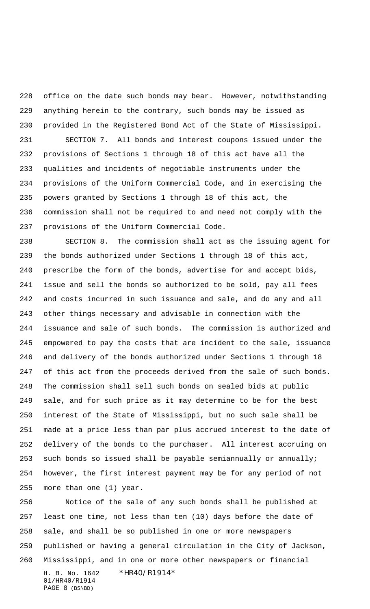office on the date such bonds may bear. However, notwithstanding anything herein to the contrary, such bonds may be issued as provided in the Registered Bond Act of the State of Mississippi. SECTION 7. All bonds and interest coupons issued under the provisions of Sections 1 through 18 of this act have all the qualities and incidents of negotiable instruments under the provisions of the Uniform Commercial Code, and in exercising the powers granted by Sections 1 through 18 of this act, the commission shall not be required to and need not comply with the provisions of the Uniform Commercial Code.

 SECTION 8. The commission shall act as the issuing agent for the bonds authorized under Sections 1 through 18 of this act, prescribe the form of the bonds, advertise for and accept bids, issue and sell the bonds so authorized to be sold, pay all fees and costs incurred in such issuance and sale, and do any and all other things necessary and advisable in connection with the issuance and sale of such bonds. The commission is authorized and empowered to pay the costs that are incident to the sale, issuance and delivery of the bonds authorized under Sections 1 through 18 of this act from the proceeds derived from the sale of such bonds. The commission shall sell such bonds on sealed bids at public sale, and for such price as it may determine to be for the best interest of the State of Mississippi, but no such sale shall be made at a price less than par plus accrued interest to the date of delivery of the bonds to the purchaser. All interest accruing on such bonds so issued shall be payable semiannually or annually; however, the first interest payment may be for any period of not more than one (1) year.

H. B. No. 1642 \*HR40/R1914\* 01/HR40/R1914 PAGE 8 (BS\BD) Notice of the sale of any such bonds shall be published at least one time, not less than ten (10) days before the date of sale, and shall be so published in one or more newspapers published or having a general circulation in the City of Jackson, Mississippi, and in one or more other newspapers or financial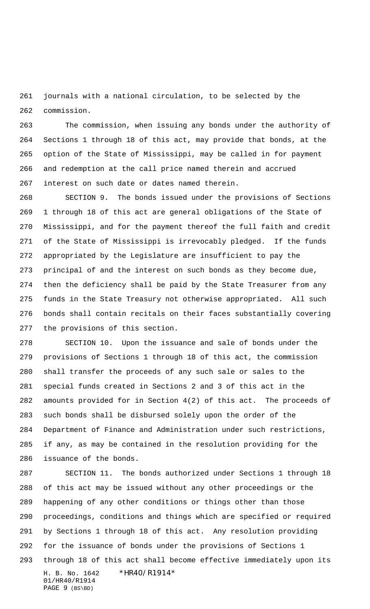journals with a national circulation, to be selected by the commission.

 The commission, when issuing any bonds under the authority of Sections 1 through 18 of this act, may provide that bonds, at the option of the State of Mississippi, may be called in for payment and redemption at the call price named therein and accrued interest on such date or dates named therein.

 SECTION 9. The bonds issued under the provisions of Sections 1 through 18 of this act are general obligations of the State of Mississippi, and for the payment thereof the full faith and credit of the State of Mississippi is irrevocably pledged. If the funds appropriated by the Legislature are insufficient to pay the principal of and the interest on such bonds as they become due, then the deficiency shall be paid by the State Treasurer from any funds in the State Treasury not otherwise appropriated. All such bonds shall contain recitals on their faces substantially covering the provisions of this section.

 SECTION 10. Upon the issuance and sale of bonds under the provisions of Sections 1 through 18 of this act, the commission shall transfer the proceeds of any such sale or sales to the special funds created in Sections 2 and 3 of this act in the amounts provided for in Section 4(2) of this act. The proceeds of such bonds shall be disbursed solely upon the order of the Department of Finance and Administration under such restrictions, if any, as may be contained in the resolution providing for the issuance of the bonds.

H. B. No. 1642 \*HR40/R1914\* 01/HR40/R1914 PAGE 9 (BS\BD) SECTION 11. The bonds authorized under Sections 1 through 18 of this act may be issued without any other proceedings or the happening of any other conditions or things other than those proceedings, conditions and things which are specified or required by Sections 1 through 18 of this act. Any resolution providing for the issuance of bonds under the provisions of Sections 1 through 18 of this act shall become effective immediately upon its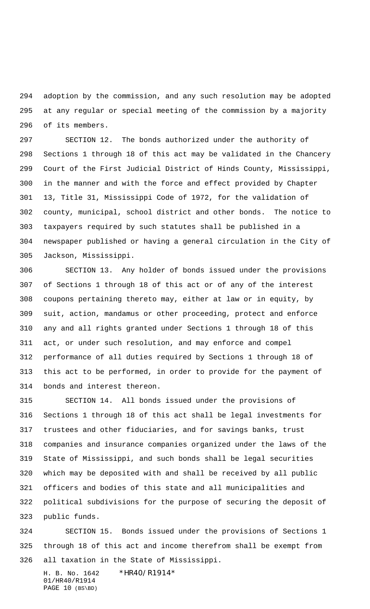adoption by the commission, and any such resolution may be adopted at any regular or special meeting of the commission by a majority of its members.

 SECTION 12. The bonds authorized under the authority of Sections 1 through 18 of this act may be validated in the Chancery Court of the First Judicial District of Hinds County, Mississippi, in the manner and with the force and effect provided by Chapter 13, Title 31, Mississippi Code of 1972, for the validation of county, municipal, school district and other bonds. The notice to taxpayers required by such statutes shall be published in a newspaper published or having a general circulation in the City of Jackson, Mississippi.

 SECTION 13. Any holder of bonds issued under the provisions of Sections 1 through 18 of this act or of any of the interest coupons pertaining thereto may, either at law or in equity, by suit, action, mandamus or other proceeding, protect and enforce any and all rights granted under Sections 1 through 18 of this act, or under such resolution, and may enforce and compel performance of all duties required by Sections 1 through 18 of this act to be performed, in order to provide for the payment of bonds and interest thereon.

 SECTION 14. All bonds issued under the provisions of Sections 1 through 18 of this act shall be legal investments for trustees and other fiduciaries, and for savings banks, trust companies and insurance companies organized under the laws of the State of Mississippi, and such bonds shall be legal securities which may be deposited with and shall be received by all public officers and bodies of this state and all municipalities and political subdivisions for the purpose of securing the deposit of public funds.

 SECTION 15. Bonds issued under the provisions of Sections 1 through 18 of this act and income therefrom shall be exempt from all taxation in the State of Mississippi.

H. B. No. 1642 \*HR40/R1914\* 01/HR40/R1914 PAGE 10 (BS\BD)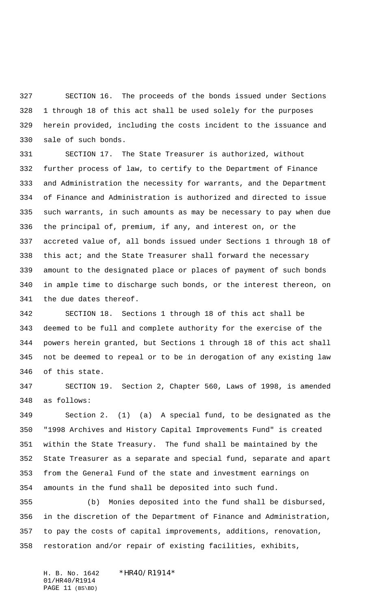SECTION 16. The proceeds of the bonds issued under Sections 1 through 18 of this act shall be used solely for the purposes herein provided, including the costs incident to the issuance and sale of such bonds.

 SECTION 17. The State Treasurer is authorized, without further process of law, to certify to the Department of Finance and Administration the necessity for warrants, and the Department of Finance and Administration is authorized and directed to issue such warrants, in such amounts as may be necessary to pay when due the principal of, premium, if any, and interest on, or the accreted value of, all bonds issued under Sections 1 through 18 of 338 this act; and the State Treasurer shall forward the necessary amount to the designated place or places of payment of such bonds in ample time to discharge such bonds, or the interest thereon, on the due dates thereof.

 SECTION 18. Sections 1 through 18 of this act shall be deemed to be full and complete authority for the exercise of the powers herein granted, but Sections 1 through 18 of this act shall not be deemed to repeal or to be in derogation of any existing law of this state.

 SECTION 19. Section 2, Chapter 560, Laws of 1998, is amended as follows:

 Section 2. (1) (a) A special fund, to be designated as the "1998 Archives and History Capital Improvements Fund" is created within the State Treasury. The fund shall be maintained by the State Treasurer as a separate and special fund, separate and apart from the General Fund of the state and investment earnings on amounts in the fund shall be deposited into such fund.

 (b) Monies deposited into the fund shall be disbursed, in the discretion of the Department of Finance and Administration, to pay the costs of capital improvements, additions, renovation, restoration and/or repair of existing facilities, exhibits,

H. B. No. 1642 \* HR40/R1914\* 01/HR40/R1914 PAGE 11 (BS\BD)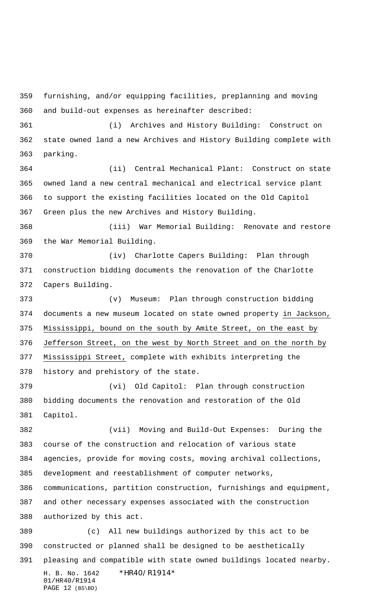furnishing, and/or equipping facilities, preplanning and moving and build-out expenses as hereinafter described:

 (i) Archives and History Building: Construct on state owned land a new Archives and History Building complete with parking.

 (ii) Central Mechanical Plant: Construct on state owned land a new central mechanical and electrical service plant to support the existing facilities located on the Old Capitol Green plus the new Archives and History Building.

 (iii) War Memorial Building: Renovate and restore the War Memorial Building.

 (iv) Charlotte Capers Building: Plan through construction bidding documents the renovation of the Charlotte Capers Building.

 (v) Museum: Plan through construction bidding documents a new museum located on state owned property in Jackson, Mississippi, bound on the south by Amite Street, on the east by 376 Jefferson Street, on the west by North Street and on the north by Mississippi Street, complete with exhibits interpreting the history and prehistory of the state.

 (vi) Old Capitol: Plan through construction bidding documents the renovation and restoration of the Old Capitol.

 (vii) Moving and Build-Out Expenses: During the course of the construction and relocation of various state agencies, provide for moving costs, moving archival collections, development and reestablishment of computer networks, communications, partition construction, furnishings and equipment, and other necessary expenses associated with the construction authorized by this act.

H. B. No. 1642 \*HR40/R1914\* 01/HR40/R1914 PAGE 12 (BS\BD) (c) All new buildings authorized by this act to be constructed or planned shall be designed to be aesthetically pleasing and compatible with state owned buildings located nearby.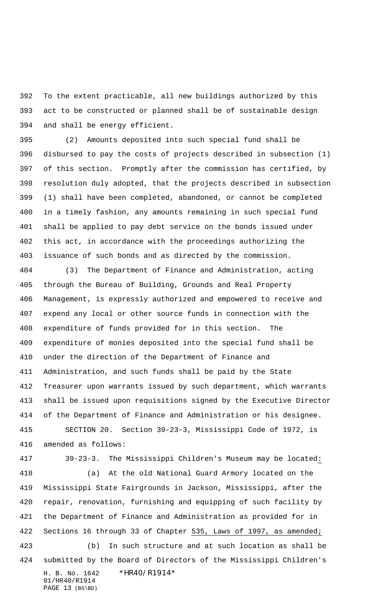To the extent practicable, all new buildings authorized by this act to be constructed or planned shall be of sustainable design and shall be energy efficient.

 (2) Amounts deposited into such special fund shall be disbursed to pay the costs of projects described in subsection (1) of this section. Promptly after the commission has certified, by resolution duly adopted, that the projects described in subsection (1) shall have been completed, abandoned, or cannot be completed in a timely fashion, any amounts remaining in such special fund shall be applied to pay debt service on the bonds issued under this act, in accordance with the proceedings authorizing the issuance of such bonds and as directed by the commission.

 (3) The Department of Finance and Administration, acting through the Bureau of Building, Grounds and Real Property Management, is expressly authorized and empowered to receive and expend any local or other source funds in connection with the expenditure of funds provided for in this section. The expenditure of monies deposited into the special fund shall be under the direction of the Department of Finance and Administration, and such funds shall be paid by the State Treasurer upon warrants issued by such department, which warrants shall be issued upon requisitions signed by the Executive Director of the Department of Finance and Administration or his designee. SECTION 20. Section 39-23-3, Mississippi Code of 1972, is amended as follows:

39-23-3. The Mississippi Children's Museum may be located:

 (a) At the old National Guard Armory located on the Mississippi State Fairgrounds in Jackson, Mississippi, after the repair, renovation, furnishing and equipping of such facility by the Department of Finance and Administration as provided for in Sections 16 through 33 of Chapter 535, Laws of 1997, as amended;

H. B. No. 1642 \*HR40/R1914\* 01/HR40/R1914 PAGE 13 (BS\BD) (b) In such structure and at such location as shall be submitted by the Board of Directors of the Mississippi Children's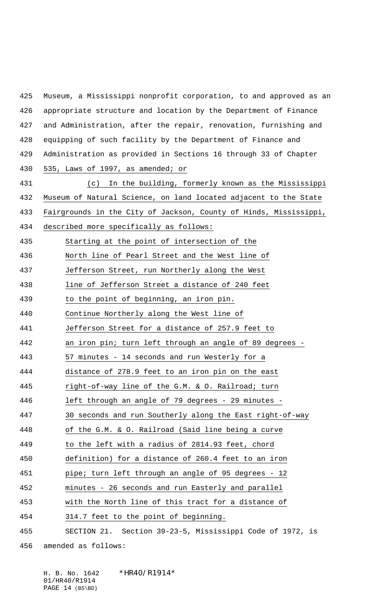Museum, a Mississippi nonprofit corporation, to and approved as an appropriate structure and location by the Department of Finance and Administration, after the repair, renovation, furnishing and equipping of such facility by the Department of Finance and Administration as provided in Sections 16 through 33 of Chapter 535, Laws of 1997, as amended; or (c) In the building, formerly known as the Mississippi Museum of Natural Science, on land located adjacent to the State Fairgrounds in the City of Jackson, County of Hinds, Mississippi, described more specifically as follows: Starting at the point of intersection of the North line of Pearl Street and the West line of Jefferson Street, run Northerly along the West line of Jefferson Street a distance of 240 feet to the point of beginning, an iron pin. Continue Northerly along the West line of Jefferson Street for a distance of 257.9 feet to an iron pin; turn left through an angle of 89 degrees - 443 57 minutes - 14 seconds and run Westerly for a distance of 278.9 feet to an iron pin on the east right-of-way line of the G.M. & O. Railroad; turn left through an angle of 79 degrees - 29 minutes - 30 seconds and run Southerly along the East right-of-way of the G.M. & O. Railroad (Said line being a curve to the left with a radius of 2814.93 feet, chord definition) for a distance of 260.4 feet to an iron pipe; turn left through an angle of 95 degrees - 12 minutes - 26 seconds and run Easterly and parallel with the North line of this tract for a distance of 314.7 feet to the point of beginning. SECTION 21. Section 39-23-5, Mississippi Code of 1972, is amended as follows:

H. B. No. 1642 \*HR40/R1914\* 01/HR40/R1914 PAGE 14 (BS\BD)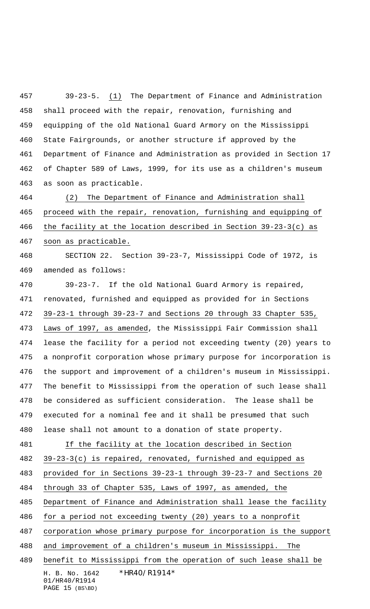39-23-5. (1) The Department of Finance and Administration shall proceed with the repair, renovation, furnishing and equipping of the old National Guard Armory on the Mississippi State Fairgrounds, or another structure if approved by the Department of Finance and Administration as provided in Section 17 of Chapter 589 of Laws, 1999, for its use as a children's museum as soon as practicable.

 (2) The Department of Finance and Administration shall proceed with the repair, renovation, furnishing and equipping of the facility at the location described in Section 39-23-3(c) as soon as practicable.

 SECTION 22. Section 39-23-7, Mississippi Code of 1972, is amended as follows:

 39-23-7. If the old National Guard Armory is repaired, renovated, furnished and equipped as provided for in Sections 39-23-1 through 39-23-7 and Sections 20 through 33 Chapter 535, Laws of 1997, as amended, the Mississippi Fair Commission shall lease the facility for a period not exceeding twenty (20) years to a nonprofit corporation whose primary purpose for incorporation is the support and improvement of a children's museum in Mississippi. The benefit to Mississippi from the operation of such lease shall be considered as sufficient consideration. The lease shall be executed for a nominal fee and it shall be presumed that such lease shall not amount to a donation of state property. 481 If the facility at the location described in Section 39-23-3(c) is repaired, renovated, furnished and equipped as provided for in Sections 39-23-1 through 39-23-7 and Sections 20 through 33 of Chapter 535, Laws of 1997, as amended, the

485 Department of Finance and Administration shall lease the facility

for a period not exceeding twenty (20) years to a nonprofit

corporation whose primary purpose for incorporation is the support

and improvement of a children's museum in Mississippi. The

H. B. No. 1642 \*HR40/R1914\* 01/HR40/R1914 benefit to Mississippi from the operation of such lease shall be

```
PAGE 15 (BS\BD)
```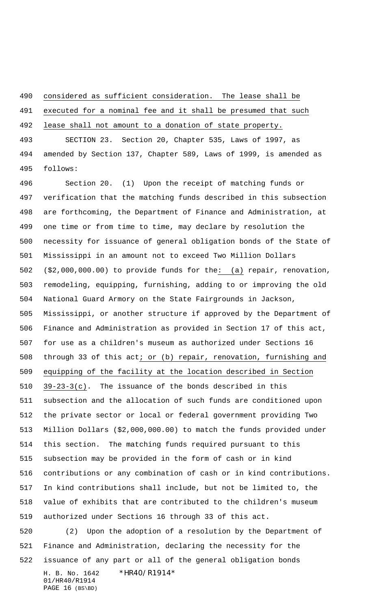considered as sufficient consideration. The lease shall be

executed for a nominal fee and it shall be presumed that such

lease shall not amount to a donation of state property.

 SECTION 23. Section 20, Chapter 535, Laws of 1997, as amended by Section 137, Chapter 589, Laws of 1999, is amended as follows:

 Section 20. (1) Upon the receipt of matching funds or verification that the matching funds described in this subsection are forthcoming, the Department of Finance and Administration, at one time or from time to time, may declare by resolution the necessity for issuance of general obligation bonds of the State of Mississippi in an amount not to exceed Two Million Dollars (\$2,000,000.00) to provide funds for the: (a) repair, renovation, remodeling, equipping, furnishing, adding to or improving the old National Guard Armory on the State Fairgrounds in Jackson, Mississippi, or another structure if approved by the Department of Finance and Administration as provided in Section 17 of this act, for use as a children's museum as authorized under Sections 16 through 33 of this act; or (b) repair, renovation, furnishing and equipping of the facility at the location described in Section 39-23-3(c). The issuance of the bonds described in this subsection and the allocation of such funds are conditioned upon the private sector or local or federal government providing Two Million Dollars (\$2,000,000.00) to match the funds provided under this section. The matching funds required pursuant to this subsection may be provided in the form of cash or in kind contributions or any combination of cash or in kind contributions. In kind contributions shall include, but not be limited to, the value of exhibits that are contributed to the children's museum authorized under Sections 16 through 33 of this act.

H. B. No. 1642 \*HR40/R1914\* 01/HR40/R1914 PAGE 16 (BS\BD) (2) Upon the adoption of a resolution by the Department of Finance and Administration, declaring the necessity for the issuance of any part or all of the general obligation bonds